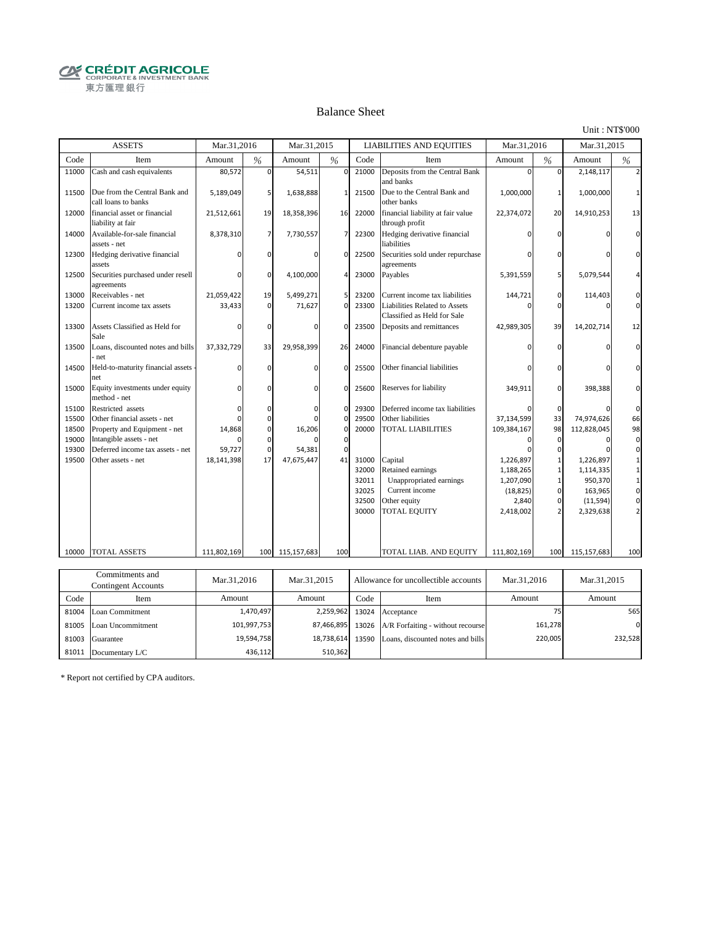**CRÉDIT AGRICOLE** 東方匯理銀行

#### Balance Sheet

Unit : NT\$'000

|       | <b>ASSETS</b>                                        | Mar.31.2016 |             | Mar.31.2015  |                |       | <b>LIABILITIES AND EQUITIES</b>                              | Mar.31.2016 |              | Mar.31.2015 |              |
|-------|------------------------------------------------------|-------------|-------------|--------------|----------------|-------|--------------------------------------------------------------|-------------|--------------|-------------|--------------|
| Code  | Item                                                 | Amount      | %           | Amount       | $\frac{0}{6}$  | Code  | Item                                                         | Amount      | %            | Amount      | %            |
| 11000 | Cash and cash equivalents                            | 80,572      | $\mathbf 0$ | 54,511       | $\mathbf 0$    | 21000 | Deposits from the Central Bank<br>and banks                  | $\Omega$    | 0            | 2,148,117   |              |
| 11500 | Due from the Central Bank and<br>call loans to banks | 5,189,049   | 5           | 1,638,888    | $\mathbf{1}$   | 21500 | Due to the Central Bank and<br>other banks                   | 1,000,000   |              | 1,000,000   |              |
| 12000 | financial asset or financial<br>liability at fair    | 21,512,661  | 19          | 18,358,396   | 16             | 22000 | financial liability at fair value<br>through profit          | 22,374,072  | 20           | 14,910,253  | 13           |
| 14000 | Available-for-sale financial<br>assets - net         | 8,378,310   | 7           | 7,730,557    | $\overline{7}$ | 22300 | Hedging derivative financial<br>liabilities                  |             | n            |             |              |
| 12300 | Hedging derivative financial<br>assets               | O           | $\Omega$    | $\Omega$     | $\mathbf 0$    | 22500 | Securities sold under repurchase<br>agreements               |             |              |             |              |
| 12500 | Securities purchased under resell<br>agreements      | $\Omega$    | 0           | 4,100,000    | $\overline{4}$ | 23000 | Payables                                                     | 5,391,559   | 5            | 5,079,544   |              |
| 13000 | Receivables - net                                    | 21,059,422  | 19          | 5,499,271    | 5              | 23200 | Current income tax liabilities                               | 144,721     | 0            | 114,403     | $\Omega$     |
| 13200 | Current income tax assets                            | 33,433      | $\Omega$    | 71,627       | $\Omega$       | 23300 | Liabilities Related to Assets<br>Classified as Held for Sale |             | $\Omega$     |             | $\Omega$     |
| 13300 | Assets Classified as Held for<br>Sale                | $\Omega$    | 0           | $\Omega$     | $\Omega$       | 23500 | Deposits and remittances                                     | 42,989,305  | 39           | 14,202,714  | 12           |
| 13500 | Loans, discounted notes and bills<br>net             | 37,332,729  | 33          | 29,958,399   | 26             | 24000 | Financial debenture payable                                  |             | n            |             | O            |
| 14500 | Held-to-maturity financial assets<br>net             | $\Omega$    | $\mathbf 0$ | $\Omega$     | $\Omega$       | 25500 | Other financial liabilities                                  |             | <sup>0</sup> |             | <sup>0</sup> |
| 15000 | Equity investments under equity<br>method - net      | $\Omega$    | $\Omega$    | $\Omega$     | $\Omega$       | 25600 | Reserves for liability                                       | 349,911     | $\Omega$     | 398,388     |              |
| 15100 | Restricted assets                                    | O           | $\Omega$    | <sup>0</sup> | $\mathbf 0$    | 29300 | Deferred income tax liabilities                              |             | $\Omega$     |             | $\Omega$     |
| 15500 | Other financial assets - net                         | n           | 0           |              | $\mathbf 0$    | 29500 | Other liabilities                                            | 37,134,599  | 33           | 74,974,626  | 66           |
| 18500 | Property and Equipment - net                         | 14,868      | 0           | 16,206       | $\mathbf 0$    | 20000 | <b>TOTAL LIABILITIES</b>                                     | 109,384,167 | 98           | 112,828,045 | 98           |
| 19000 | Intangible assets - net                              | n           | 0           |              | $\mathbf 0$    |       |                                                              |             | $\Omega$     |             | $\Omega$     |
| 19300 | Deferred income tax assets - net                     | 59,727      | $\mathbf 0$ | 54,381       | $\mathbf 0$    |       |                                                              |             | ŋ            |             | $\Omega$     |
| 19500 | Other assets - net                                   | 18,141,398  | 17          | 47,675,447   | 41             | 31000 | Capital                                                      | 1,226,897   |              | 1,226,897   |              |
|       |                                                      |             |             |              |                | 32000 | Retained earnings                                            | 1,188,265   |              | 1,114,335   |              |
|       |                                                      |             |             |              |                | 32011 | Unappropriated earnings                                      | 1,207,090   |              | 950,370     |              |
|       |                                                      |             |             |              |                | 32025 | Current income                                               | (18, 825)   | $\Omega$     | 163,965     |              |
|       |                                                      |             |             |              |                | 32500 | Other equity                                                 | 2,840       | $\Omega$     | (11, 594)   | 0            |
|       |                                                      |             |             |              |                | 30000 | TOTAL EQUITY                                                 | 2,418,002   |              | 2,329,638   |              |
| 10000 | TOTAL ASSETS                                         | 111,802,169 | 100         | 115,157,683  | 100            |       | TOTAL LIAB. AND EQUITY                                       | 111,802,169 | 100          | 115,157,683 | 100          |
|       |                                                      |             |             |              |                |       |                                                              |             |              |             |              |
|       | Commitments and                                      |             |             |              |                |       |                                                              |             |              |             |              |
|       |                                                      | Mar.31,2016 |             | Mar.31,2015  |                |       | Allowance for uncollectible accounts                         | Mar.31,2016 |              | Mar.31,2015 |              |

| Сопшиненто ана<br>Contingent Accounts |                         | Mar.31,2016<br>Mar.31.2015 |            |       | Allowance for uncollectible accounts    | Mar.31.2016 | Mar.31,2015 |
|---------------------------------------|-------------------------|----------------------------|------------|-------|-----------------------------------------|-------------|-------------|
| Code                                  | Item                    | Amount                     | Amount     | Code  | Item                                    | Amount      | Amount      |
|                                       | 81004 Loan Commitment   | 1,470,497                  |            |       | 2,259,962 13024 Acceptance              |             | 565         |
|                                       | 81005 Loan Uncommitment | 101,997,753                | 87.466.895 |       | 13026 A/R Forfaiting - without recourse | 161,278     | $\Omega$    |
| 81003                                 | Guarantee               | 19,594,758                 | 18.738.614 | 13590 | Loans, discounted notes and bills       | 220,005     | 232,528     |
| 81011                                 | Documentary L/C         | 436,112                    | 510.362    |       |                                         |             |             |

\* Report not certified by CPA auditors.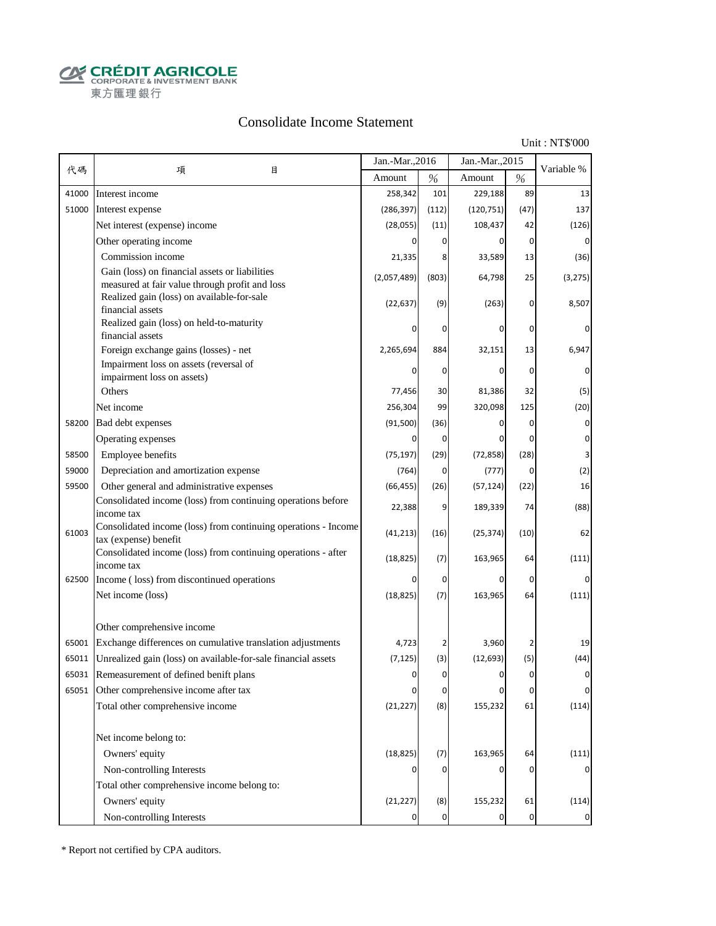**CALCOUT AGRICOLE**<br>
CORPORATE & INVESTMENT BANK<br>
東方匯理銀行

### Consolidate Income Statement

Unit : NT\$'000

|       |                                                                                                  | Jan.-Mar., 2016 |           | Jan.-Mar., 2015 |                | Variable %     |
|-------|--------------------------------------------------------------------------------------------------|-----------------|-----------|-----------------|----------------|----------------|
| 代碼    | 項<br>目                                                                                           | Amount          | $\%$      | Amount          | $\%$           |                |
| 41000 | Interest income                                                                                  | 258,342         | 101       | 229,188         | 89             | 13             |
| 51000 | Interest expense                                                                                 | (286, 397)      | (112)     | (120, 751)      | (47)           | 137            |
|       | Net interest (expense) income                                                                    | (28, 055)       | (11)      | 108,437         | 42             | (126)          |
|       | Other operating income                                                                           | $\Omega$        | 0         | 0               | $\overline{0}$ | 0              |
|       | Commission income                                                                                | 21,335          | 8         | 33,589          | 13             | (36)           |
|       | Gain (loss) on financial assets or liabilities<br>measured at fair value through profit and loss | (2,057,489)     | (803)     | 64,798          | 25             | (3, 275)       |
|       | Realized gain (loss) on available-for-sale<br>financial assets                                   | (22, 637)       | (9)       | (263)           | 0              | 8,507          |
|       | Realized gain (loss) on held-to-maturity<br>financial assets                                     |                 | 0         | 0               | 0              |                |
|       | Foreign exchange gains (losses) - net                                                            | 2,265,694       | 884       | 32,151          | 13             | 6,947          |
|       | Impairment loss on assets (reversal of                                                           |                 | 0         | 0               | 0              | 0              |
|       | impairment loss on assets)                                                                       |                 |           |                 |                |                |
|       | Others                                                                                           | 77,456          | 30        | 81,386          | 32             | (5)            |
|       | Net income                                                                                       | 256,304         | 99        | 320,098         | 125            | (20)           |
| 58200 | Bad debt expenses                                                                                | (91, 500)       | (36)      | 0               | 0              | 0              |
|       | Operating expenses                                                                               | 0               | 0         | 0               | 0              | 0              |
| 58500 | Employee benefits                                                                                | (75, 197)       | (29)      | (72, 858)       | (28)           |                |
| 59000 | Depreciation and amortization expense                                                            | (764)           | 0         | (777)           | 0              | (2)            |
| 59500 | Other general and administrative expenses                                                        | (66, 455)       | (26)      | (57, 124)       | (22)           | 16             |
|       | Consolidated income (loss) from continuing operations before<br>income tax                       | 22,388          | 9         | 189,339         | 74             | (88)           |
| 61003 | Consolidated income (loss) from continuing operations - Income<br>tax (expense) benefit          | (41, 213)       | (16)      | (25, 374)       | (10)           | 62             |
|       | Consolidated income (loss) from continuing operations - after<br>income tax                      | (18, 825)       | (7)       | 163,965         | 64             | (111)          |
| 62500 | Income (loss) from discontinued operations                                                       | 0               | 0         | 0               | 0              | $\Omega$       |
|       | Net income (loss)                                                                                | (18, 825)       | (7)       | 163,965         | 64             | (111)          |
|       | Other comprehensive income                                                                       |                 |           |                 |                |                |
| 65001 | Exchange differences on cumulative translation adjustments                                       | 4,723           | 2         | 3,960           | 2              | 19             |
| 65011 | Unrealized gain (loss) on available-for-sale financial assets                                    | (7, 125)        | (3)       | (12, 693)       | (5)            | (44)           |
| 65031 | Remeasurement of defined benift plans                                                            | O               | $\Omega$  |                 | $\Omega$       |                |
|       | 65051 Other comprehensive income after tax                                                       | 0               | $\pmb{0}$ | 0               | 0              | $\overline{0}$ |
|       | Total other comprehensive income                                                                 | (21, 227)       | (8)       | 155,232         | 61             | (114)          |
|       | Net income belong to:                                                                            |                 |           |                 |                |                |
|       | Owners' equity                                                                                   | (18, 825)       | (7)       | 163,965         | 64             | (111)          |
|       | Non-controlling Interests                                                                        |                 | 0         | 0               | 0              |                |
|       | Total other comprehensive income belong to:                                                      |                 |           |                 |                |                |
|       | Owners' equity                                                                                   | (21, 227)       | (8)       | 155,232         | 61             | (114)          |
|       | Non-controlling Interests                                                                        |                 | 0         | 0               | $\overline{0}$ | $\mathbf 0$    |

\* Report not certified by CPA auditors.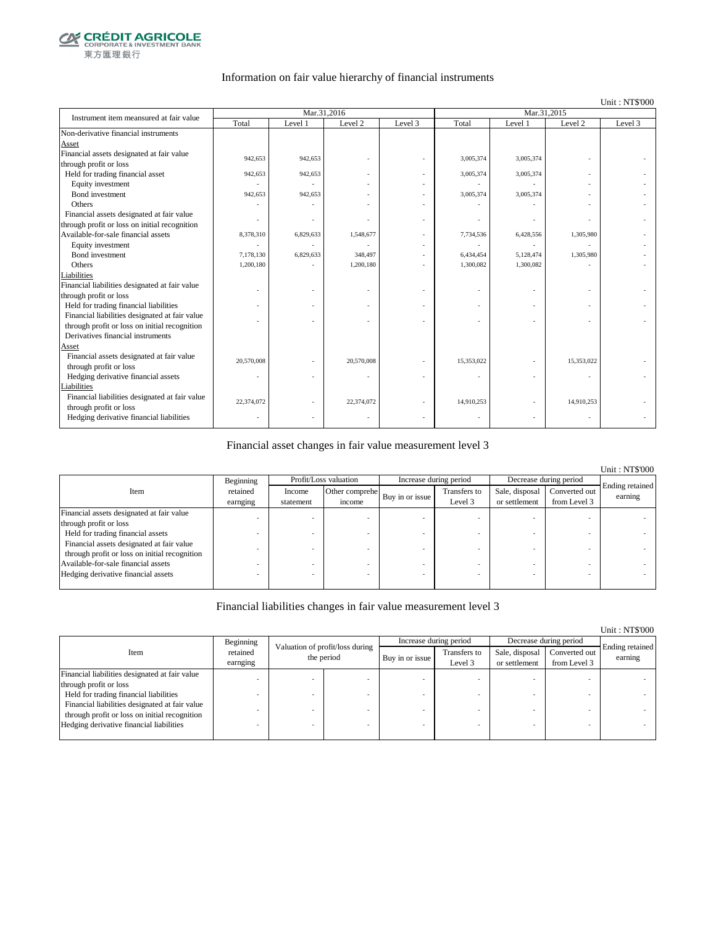

#### Information on fair value hierarchy of financial instruments

#### Unit : NT\$'000

| Instrument item meansured at fair value        |            | Mar.31,2016 |                    |         | Mar.31,2015 |           |                    |         |
|------------------------------------------------|------------|-------------|--------------------|---------|-------------|-----------|--------------------|---------|
|                                                | Total      | Level 1     | Level <sub>2</sub> | Level 3 | Total       | Level 1   | Level <sub>2</sub> | Level 3 |
| Non-derivative financial instruments           |            |             |                    |         |             |           |                    |         |
| Asset                                          |            |             |                    |         |             |           |                    |         |
| Financial assets designated at fair value      | 942,653    | 942,653     |                    |         | 3,005,374   | 3,005,374 |                    |         |
| through profit or loss                         |            |             |                    |         |             |           |                    |         |
| Held for trading financial asset               | 942,653    | 942,653     |                    |         | 3,005,374   | 3,005,374 |                    |         |
| Equity investment                              |            |             |                    |         |             |           |                    |         |
| Bond investment                                | 942,653    | 942,653     |                    |         | 3,005,374   | 3,005,374 |                    |         |
| Others                                         |            |             |                    |         |             |           |                    |         |
| Financial assets designated at fair value      |            |             |                    |         |             |           |                    |         |
| through profit or loss on initial recognition  |            |             |                    |         |             |           |                    |         |
| Available-for-sale financial assets            | 8,378,310  | 6,829,633   | 1,548,677          |         | 7,734,536   | 6,428,556 | 1,305,980          |         |
| Equity investment                              |            |             |                    |         |             |           |                    |         |
| Bond investment                                | 7.178.130  | 6,829,633   | 348,497            |         | 6,434,454   | 5,128,474 | 1,305,980          |         |
| Others                                         | 1,200,180  |             | 1,200,180          |         | 1,300,082   | 1,300,082 |                    |         |
| Liabilities                                    |            |             |                    |         |             |           |                    |         |
| Financial liabilities designated at fair value |            |             |                    |         |             |           |                    |         |
| through profit or loss                         |            |             |                    |         |             |           |                    |         |
| Held for trading financial liabilities         |            |             |                    |         |             |           |                    |         |
| Financial liabilities designated at fair value |            |             |                    |         |             |           |                    |         |
| through profit or loss on initial recognition  |            |             |                    |         |             |           |                    |         |
| Derivatives financial instruments              |            |             |                    |         |             |           |                    |         |
| Asset                                          |            |             |                    |         |             |           |                    |         |
| Financial assets designated at fair value      | 20,570,008 |             | 20,570,008         |         | 15,353,022  |           | 15,353,022         |         |
| through profit or loss                         |            |             |                    |         |             |           |                    |         |
| Hedging derivative financial assets            | ٠          |             |                    |         |             |           | ÷,                 |         |
| Liabilities                                    |            |             |                    |         |             |           |                    |         |
| Financial liabilities designated at fair value | 22,374,072 |             | 22,374,072         |         | 14,910,253  |           | 14,910,253         |         |
| through profit or loss                         |            |             |                    |         |             |           |                    |         |
| Hedging derivative financial liabilities       |            |             |                    |         |             |           |                    |         |

#### Financial asset changes in fair value measurement level 3

|                                               |           |           |                       |                        |              |                        |               | <b>Unit: NT\$'000</b> |
|-----------------------------------------------|-----------|-----------|-----------------------|------------------------|--------------|------------------------|---------------|-----------------------|
|                                               | Beginning |           | Profit/Loss valuation | Increase during period |              | Decrease during period |               |                       |
| Item                                          | retained  | Income    | Other comprehe        |                        | Transfers to | Sale, disposal         | Converted out | Ending retained       |
|                                               | earnging  | statement | income                | Buy in or issue        | Level 3      | or settlement          | from Level 3  | earning               |
| Financial assets designated at fair value     |           |           |                       |                        |              |                        |               |                       |
| through profit or loss                        |           |           |                       |                        |              |                        |               |                       |
| Held for trading financial assets             |           |           |                       |                        |              |                        |               |                       |
| Financial assets designated at fair value     |           |           |                       |                        |              |                        |               |                       |
| through profit or loss on initial recognition |           |           |                       |                        |              |                        |               |                       |
| Available-for-sale financial assets           |           |           |                       |                        |              |                        |               |                       |
| Hedging derivative financial assets           |           |           |                       |                        |              |                        |               |                       |
|                                               |           |           |                       |                        |              |                        |               |                       |

#### Financial liabilities changes in fair value measurement level 3

|                                                |                      |                                               |  |                 |                         |                                 |                               | <b>UIIII</b> . IN LOUU     |
|------------------------------------------------|----------------------|-----------------------------------------------|--|-----------------|-------------------------|---------------------------------|-------------------------------|----------------------------|
|                                                | Beginning            |                                               |  |                 | Increase during period  | Decrease during period          |                               |                            |
| Item                                           | retained<br>earnging | Valuation of profit/loss during<br>the period |  | Buy in or issue | Transfers to<br>Level 3 | Sale, disposal<br>or settlement | Converted out<br>from Level 3 | Ending retained<br>earning |
| Financial liabilities designated at fair value |                      |                                               |  |                 |                         |                                 |                               |                            |
| through profit or loss                         |                      |                                               |  |                 |                         |                                 |                               |                            |
| Held for trading financial liabilities         |                      |                                               |  |                 |                         |                                 |                               |                            |
| Financial liabilities designated at fair value |                      |                                               |  |                 |                         |                                 |                               |                            |
| through profit or loss on initial recognition  |                      |                                               |  |                 |                         |                                 |                               |                            |
| Hedging derivative financial liabilities       |                      |                                               |  |                 |                         |                                 |                               |                            |
|                                                |                      |                                               |  |                 |                         |                                 |                               |                            |

### Unit : NT\$'000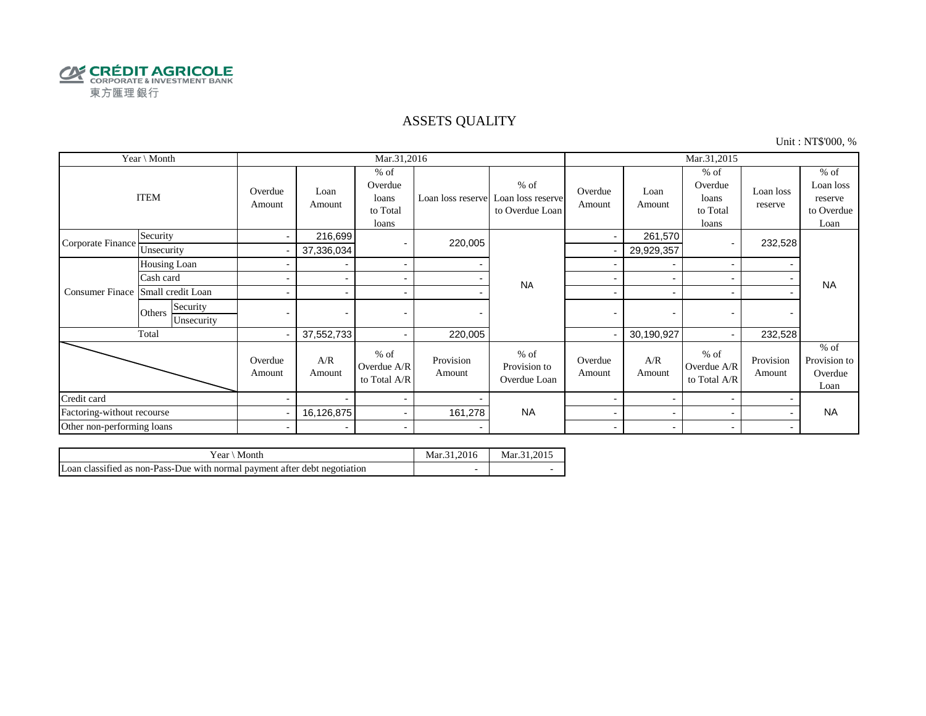

### ASSETS QUALITY

Unit : NT\$'000, %

| Year \ Month               |                                  |                          |                          | Mar.31,2016                                     |                     |                                                                  | Mar.31,2015              |                          |                                                 |                          |                                                      |
|----------------------------|----------------------------------|--------------------------|--------------------------|-------------------------------------------------|---------------------|------------------------------------------------------------------|--------------------------|--------------------------|-------------------------------------------------|--------------------------|------------------------------------------------------|
|                            | <b>ITEM</b>                      | Overdue<br>Amount        | Loan<br>Amount           | $%$ of<br>Overdue<br>loans<br>to Total<br>loans |                     | $%$ of<br>Loan loss reserve Loan loss reserve<br>to Overdue Loan | Overdue<br>Amount        | Loan<br>Amount           | $%$ of<br>Overdue<br>loans<br>to Total<br>loans | Loan loss<br>reserve     | $%$ of<br>Loan loss<br>reserve<br>to Overdue<br>Loan |
| Corporate Finance          | Security                         | $\sim$                   | 216,699                  |                                                 | 220,005             |                                                                  | $\blacksquare$           | 261,570                  |                                                 | 232,528                  |                                                      |
|                            | Unsecurity                       |                          | 37,336,034               |                                                 |                     |                                                                  |                          | 29,929,357               |                                                 |                          |                                                      |
|                            | Housing Loan                     |                          |                          | $\sim$                                          |                     |                                                                  |                          | $\overline{\phantom{a}}$ | $\overline{\phantom{0}}$                        |                          |                                                      |
|                            | Cash card                        |                          |                          | $\sim$                                          |                     | <b>NA</b>                                                        |                          |                          |                                                 |                          | <b>NA</b>                                            |
| <b>Consumer Finace</b>     | Small credit Loan                |                          |                          | $\overline{\phantom{a}}$                        |                     |                                                                  | -                        | $\overline{\phantom{0}}$ |                                                 |                          |                                                      |
|                            | Security<br>Others<br>Unsecurity | $\blacksquare$           | $\overline{\phantom{0}}$ |                                                 |                     |                                                                  | $\blacksquare$           | $\overline{\phantom{0}}$ |                                                 | $\overline{\phantom{0}}$ |                                                      |
|                            | Total                            | $\overline{\phantom{0}}$ | 37,552,733               | $\sim$                                          | 220,005             |                                                                  |                          | 30,190,927               |                                                 | 232,528                  |                                                      |
|                            |                                  | Overdue<br>Amount        | A/R<br>Amount            | $%$ of<br>Overdue A/R<br>to Total A/R           | Provision<br>Amount | $%$ of<br>Provision to<br>Overdue Loan                           | Overdue<br>Amount        | A/R<br>Amount            | $%$ of<br>Overdue A/R<br>to Total A/R           | Provision<br>Amount      | $%$ of<br>Provision to<br>Overdue<br>Loan            |
| Credit card                |                                  |                          |                          | $\sim$                                          |                     |                                                                  |                          | $\blacksquare$           |                                                 |                          |                                                      |
| Factoring-without recourse |                                  |                          | 16,126,875               | $\sim$                                          | 161,278             | <b>NA</b>                                                        | -                        | -                        |                                                 |                          | <b>NA</b>                                            |
| Other non-performing loans |                                  | $\blacksquare$           | $\overline{\phantom{0}}$ | $\blacksquare$                                  |                     |                                                                  | $\overline{\phantom{0}}$ | $\overline{\phantom{0}}$ | $\overline{\phantom{0}}$                        |                          |                                                      |

| Month<br>Year <sup>'</sup>                                                 | Mar.31.2016              | Mar. 31.2015 |
|----------------------------------------------------------------------------|--------------------------|--------------|
| Loan classified as non-Pass-Due with normal payment after debt negotiation | $\overline{\phantom{a}}$ |              |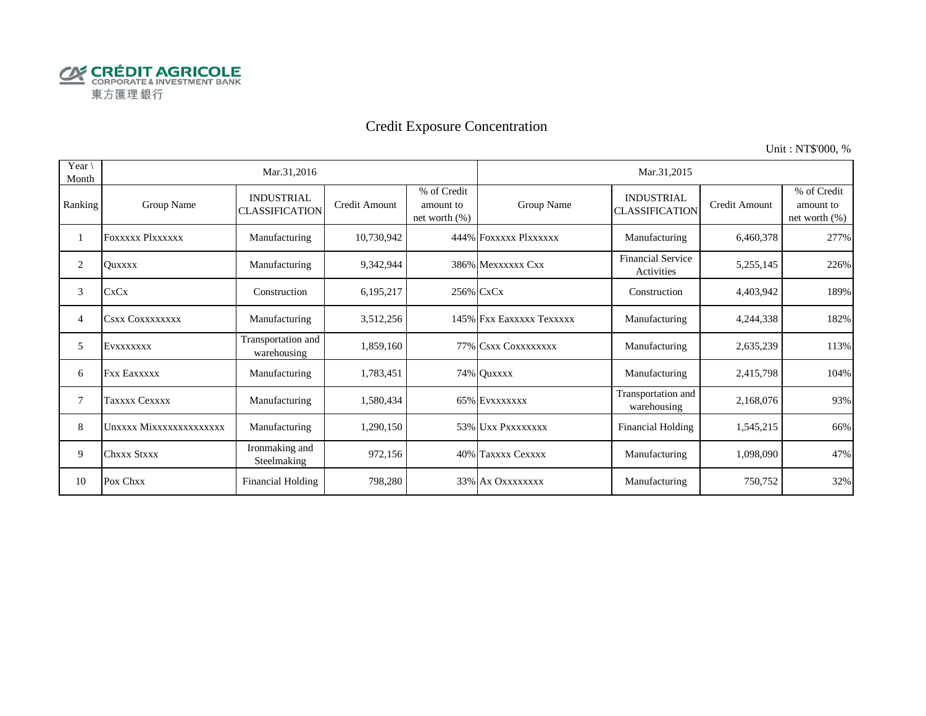

# Credit Exposure Concentration

Unit : NT\$'000, %

| Year \<br>Month |                         | Mar.31,2016                                |               |                                              | Mar.31,2015              |                                            |               |                                           |  |  |
|-----------------|-------------------------|--------------------------------------------|---------------|----------------------------------------------|--------------------------|--------------------------------------------|---------------|-------------------------------------------|--|--|
| Ranking         | Group Name              | <b>INDUSTRIAL</b><br><b>CLASSIFICATION</b> | Credit Amount | % of Credit<br>amount to<br>net worth $(\%)$ | Group Name               | <b>INDUSTRIAL</b><br><b>CLASSIFICATION</b> | Credit Amount | % of Credit<br>amount to<br>net worth (%) |  |  |
|                 | <b>FOXXXXX PIXXXXXX</b> | Manufacturing                              | 10,730,942    |                                              | 444% FOXXXXX PlXXXXXX    | Manufacturing                              | 6,460,378     | 277%                                      |  |  |
| 2               | <b>Ouxxxx</b>           | Manufacturing                              | 9,342,944     |                                              | 386% Mexxxxxx Cxx        | <b>Financial Service</b><br>Activities     | 5,255,145     | 226%                                      |  |  |
| 3               | <b>CxCx</b>             | Construction                               | 6,195,217     |                                              | 256% CxCx                | Construction                               | 4,403,942     | 189%                                      |  |  |
| 4               | <b>CSXX COXXXXXXXX</b>  | Manufacturing                              | 3,512,256     |                                              | 145% Fxx Eaxxxxx Texxxxx | Manufacturing                              | 4,244,338     | 182%                                      |  |  |
| 5               | EVXXXXXXX               | Transportation and<br>warehousing          | 1,859,160     |                                              | 77% CSXX COXXXXXXXX      | Manufacturing                              | 2,635,239     | 113%                                      |  |  |
| 6               | <b>Fxx Eaxxxxx</b>      | Manufacturing                              | 1,783,451     |                                              | 74% Quxxxx               | Manufacturing                              | 2,415,798     | 104%                                      |  |  |
| 7               | Taxxxx Cexxxx           | Manufacturing                              | 1,580,434     |                                              | 65% EVXXXXXX             | Transportation and<br>warehousing          | 2,168,076     | 93%                                       |  |  |
| 8               | Unxxxx Mixxxxxxxxxxxxxx | Manufacturing                              | 1,290,150     |                                              | 53% Uxx Pxxxxxxxx        | <b>Financial Holding</b>                   | 1,545,215     | 66%                                       |  |  |
| 9               | <b>Chxxx Stxxx</b>      | Ironmaking and<br>Steelmaking              | 972,156       |                                              | 40% Taxxxx Cexxxx        | Manufacturing                              | 1,098,090     | 47%                                       |  |  |
| 10              | Pox Chxx                | <b>Financial Holding</b>                   | 798,280       |                                              | 33% Ax Oxxxxxxx          | Manufacturing                              | 750,752       | 32%                                       |  |  |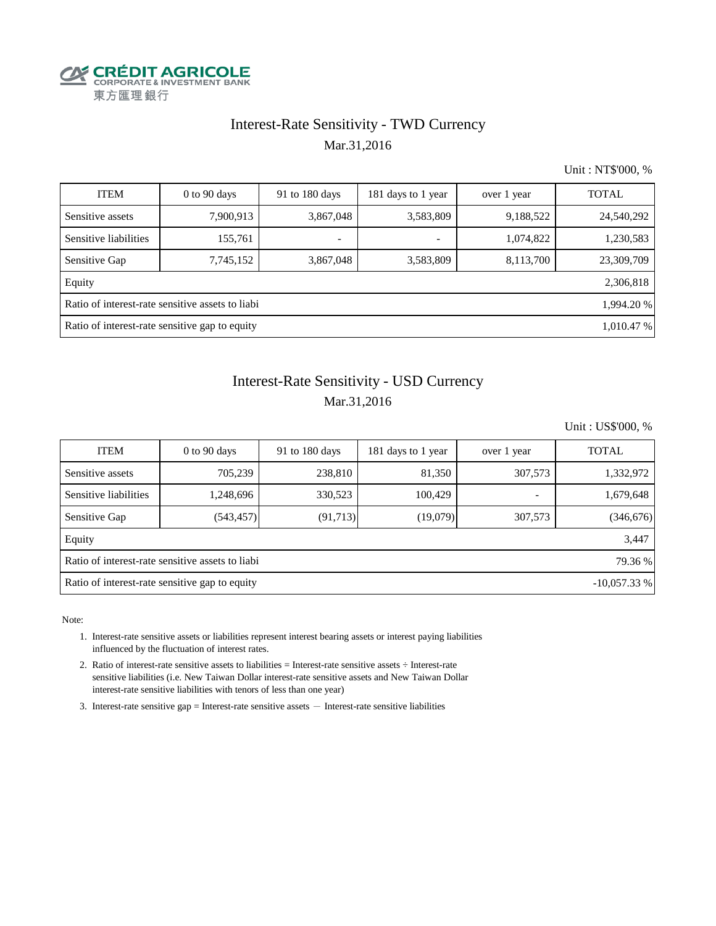

### Interest-Rate Sensitivity - TWD Currency Mar.31,2016

Unit : NT\$'000, %

| <b>ITEM</b>                                                    | $0$ to $90$ days | 91 to 180 days           | 181 days to 1 year       | over 1 year | <b>TOTAL</b> |  |  |  |  |
|----------------------------------------------------------------|------------------|--------------------------|--------------------------|-------------|--------------|--|--|--|--|
| Sensitive assets                                               | 7,900,913        | 3,867,048                | 3,583,809                | 9,188,522   | 24,540,292   |  |  |  |  |
| Sensitive liabilities                                          | 155,761          | $\overline{\phantom{a}}$ | $\overline{\phantom{a}}$ | 1,074,822   | 1,230,583    |  |  |  |  |
| Sensitive Gap                                                  | 7,745,152        | 3,867,048                | 3,583,809                | 8,113,700   | 23,309,709   |  |  |  |  |
| Equity                                                         |                  |                          |                          |             | 2,306,818    |  |  |  |  |
| Ratio of interest-rate sensitive assets to liabi<br>1,994.20 % |                  |                          |                          |             |              |  |  |  |  |
| Ratio of interest-rate sensitive gap to equity<br>1,010.47 %   |                  |                          |                          |             |              |  |  |  |  |

# Interest-Rate Sensitivity - USD Currency Mar.31,2016

Unit : US\$'000, %

| <b>ITEM</b>                                                     | $0$ to 90 days | 91 to $180$ days | 181 days to 1 year | over 1 year | <b>TOTAL</b> |  |  |  |  |
|-----------------------------------------------------------------|----------------|------------------|--------------------|-------------|--------------|--|--|--|--|
| Sensitive assets                                                | 705,239        | 238,810          | 81,350             | 307,573     | 1,332,972    |  |  |  |  |
| Sensitive liabilities                                           | 1,248,696      | 330,523          | 100.429            | ٠           | 1,679,648    |  |  |  |  |
| Sensitive Gap                                                   | (543, 457)     | (91, 713)        | (19,079)           | 307,573     | (346, 676)   |  |  |  |  |
| Equity                                                          |                |                  |                    |             | 3,447        |  |  |  |  |
| Ratio of interest-rate sensitive assets to liabi<br>79.36 %     |                |                  |                    |             |              |  |  |  |  |
| Ratio of interest-rate sensitive gap to equity<br>$-10,057.33%$ |                |                  |                    |             |              |  |  |  |  |

Note:

- 1. Interest-rate sensitive assets or liabilities represent interest bearing assets or interest paying liabilities influenced by the fluctuation of interest rates.
- 2. Ratio of interest-rate sensitive assets to liabilities = Interest-rate sensitive assets ÷ Interest-rate sensitive liabilities (i.e. New Taiwan Dollar interest-rate sensitive assets and New Taiwan Dollar interest-rate sensitive liabilities with tenors of less than one year)
- 3. Interest-rate sensitive gap = Interest-rate sensitive assets  $-$  Interest-rate sensitive liabilities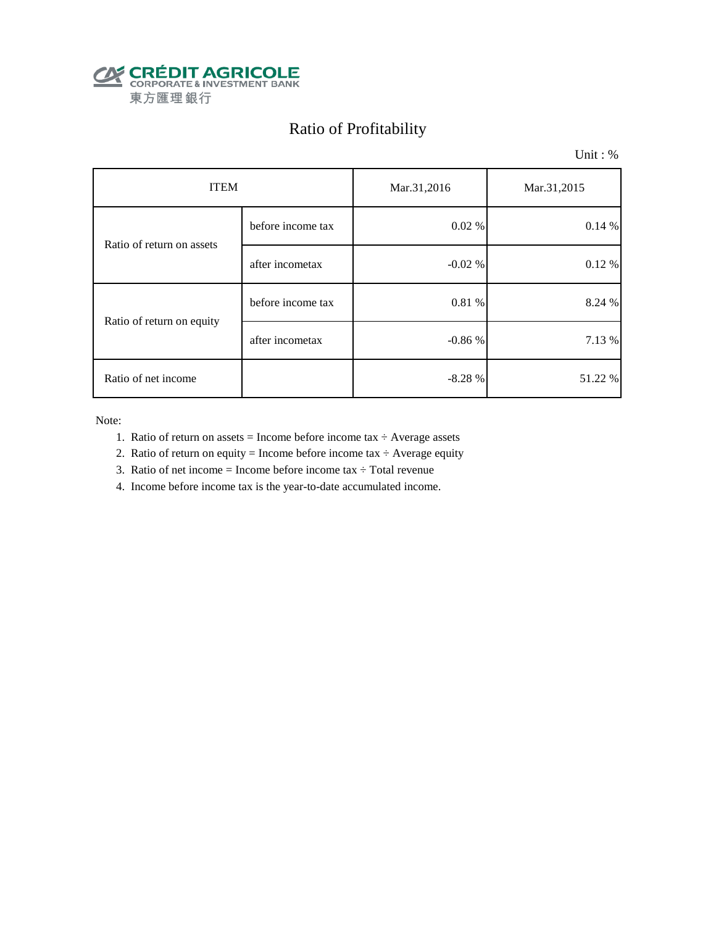

# Ratio of Profitability

Unit : %

| <b>ITEM</b>               |                   | Mar.31,2016 | Mar.31,2015 |  |
|---------------------------|-------------------|-------------|-------------|--|
| Ratio of return on assets | before income tax | 0.02%       | 0.14%       |  |
|                           | after incometax   | $-0.02%$    | 0.12%       |  |
| Ratio of return on equity | before income tax | 0.81 %      | 8.24 %      |  |
|                           | after incometax   | $-0.86%$    | 7.13 %      |  |
| Ratio of net income       |                   | $-8.28%$    | 51.22 %     |  |

Note:

- 1. Ratio of return on assets = Income before income tax  $\div$  Average assets
- 2. Ratio of return on equity = Income before income tax  $\div$  Average equity
- 3. Ratio of net income = Income before income tax  $\div$  Total revenue
- 4. Income before income tax is the year-to-date accumulated income.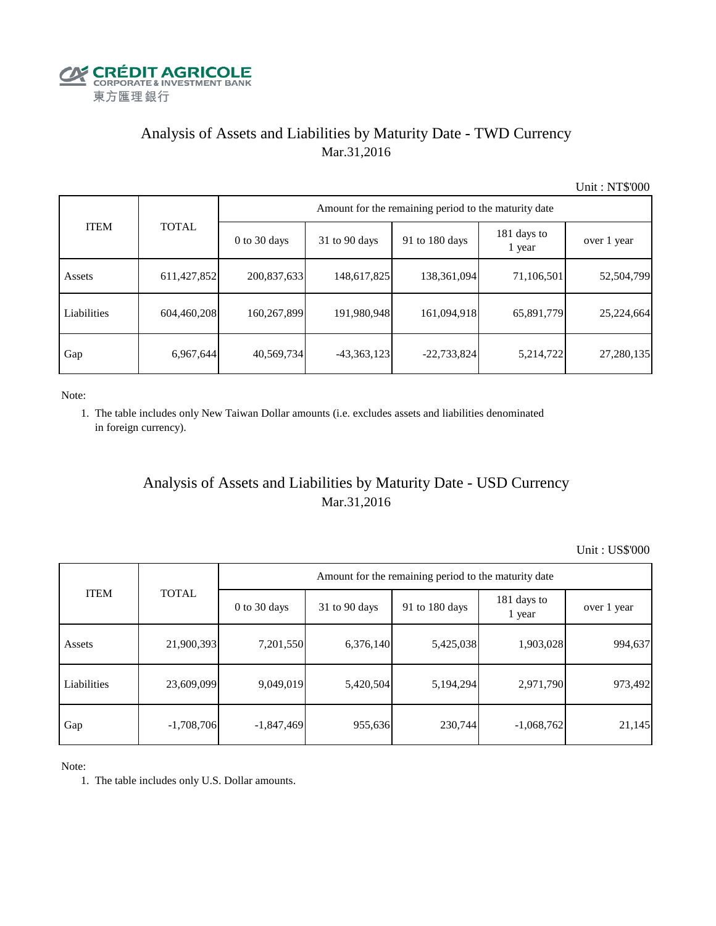

# Analysis of Assets and Liabilities by Maturity Date - TWD Currency Mar.31,2016

Unit : NT\$'000

| <b>ITEM</b> | <b>TOTAL</b> | Amount for the remaining period to the maturity date |                 |                |                       |             |  |  |
|-------------|--------------|------------------------------------------------------|-----------------|----------------|-----------------------|-------------|--|--|
|             |              | $0$ to 30 days                                       | $31$ to 90 days | 91 to 180 days | 181 days to<br>1 year | over 1 year |  |  |
| Assets      | 611,427,852  | 200,837,633                                          | 148,617,825     | 138,361,094    | 71,106,501            | 52,504,799  |  |  |
| Liabilities | 604,460,208  | 160,267,899                                          | 191,980,948     | 161,094,918    | 65,891,779            | 25,224,664  |  |  |
| Gap         | 6,967,644    | 40,569,734                                           | $-43,363,123$   | $-22,733,824$  | 5,214,722             | 27,280,135  |  |  |

Note:

 1. The table includes only New Taiwan Dollar amounts (i.e. excludes assets and liabilities denominated in foreign currency).

# Analysis of Assets and Liabilities by Maturity Date - USD Currency Mar.31,2016

Unit : US\$'000

| <b>ITEM</b> | <b>TOTAL</b> | Amount for the remaining period to the maturity date |                 |                |                       |             |  |  |
|-------------|--------------|------------------------------------------------------|-----------------|----------------|-----------------------|-------------|--|--|
|             |              | $0$ to 30 days                                       | $31$ to 90 days | 91 to 180 days | 181 days to<br>1 year | over 1 year |  |  |
| Assets      | 21,900,393   | 7,201,550                                            | 6,376,140       | 5,425,038      | 1,903,028             | 994,637     |  |  |
| Liabilities | 23,609,099   | 9,049,019                                            | 5,420,504       | 5,194,294      | 2,971,790             | 973,492     |  |  |
| Gap         | $-1,708,706$ | $-1,847,469$                                         | 955,636         | 230,744        | $-1,068,762$          | 21,145      |  |  |

Note:

1. The table includes only U.S. Dollar amounts.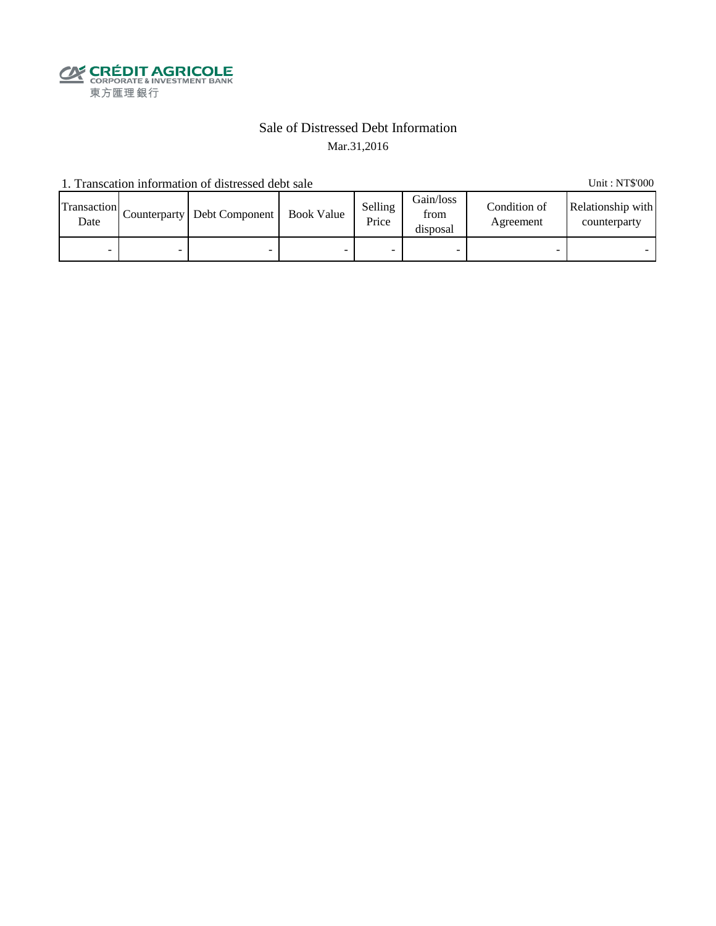

### Sale of Distressed Debt Information Mar.31,2016

1. Transcation information of distressed debt sale Unit: NT\$'000

Transaction  $\frac{\text{D}}{\text{Date}}$  Counterparty Debt Component Book Value Selling Price Gain/loss from disposal Condition of Agreement Relationship with counterparty - - - - - - - -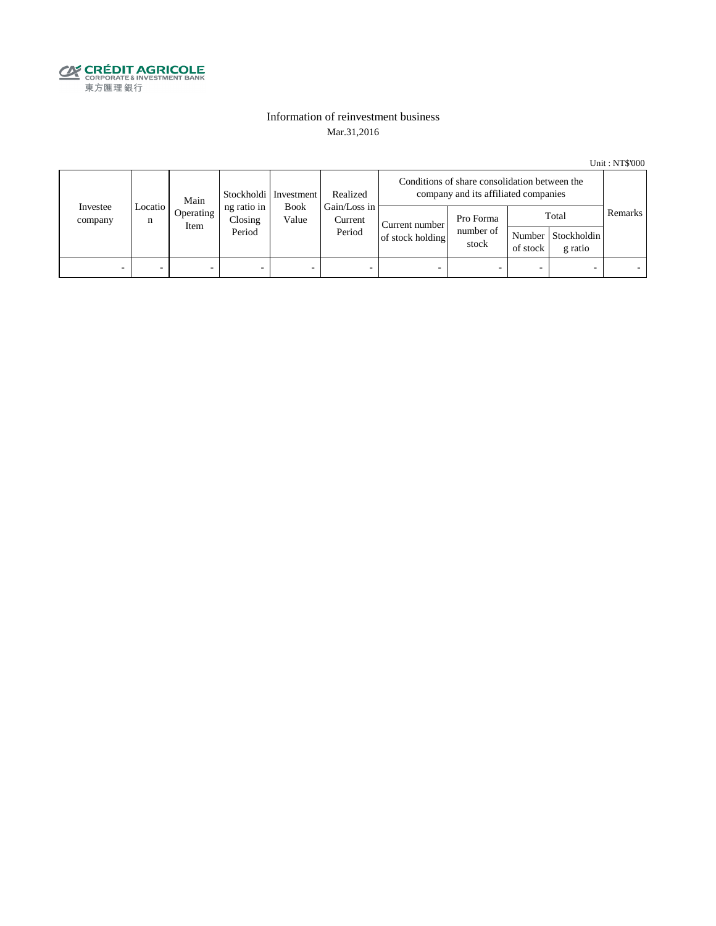

#### Information of reinvestment business Mar.31,2016

Unit : NT\$'000

| Investee<br>company | Main<br>Locatio  <br>n<br>Item |           | Stockholdi   Investment          | Realized                                                  | Conditions of share consolidation between the<br>company and its affiliated companies |                                 |          |                                        |         |  |
|---------------------|--------------------------------|-----------|----------------------------------|-----------------------------------------------------------|---------------------------------------------------------------------------------------|---------------------------------|----------|----------------------------------------|---------|--|
|                     |                                | Operating | ng ratio in<br>Closing<br>Period | Gain/Loss in<br><b>Book</b><br>Value<br>Current<br>Period | Current number<br>of stock holding                                                    | Pro Forma<br>number of<br>stock | of stock | Total<br>Number Stockholdin<br>g ratio | Remarks |  |
| -                   |                                | -         | $\overline{\phantom{0}}$         | -                                                         | $\overline{\phantom{a}}$                                                              | -                               |          | $\overline{\phantom{0}}$               |         |  |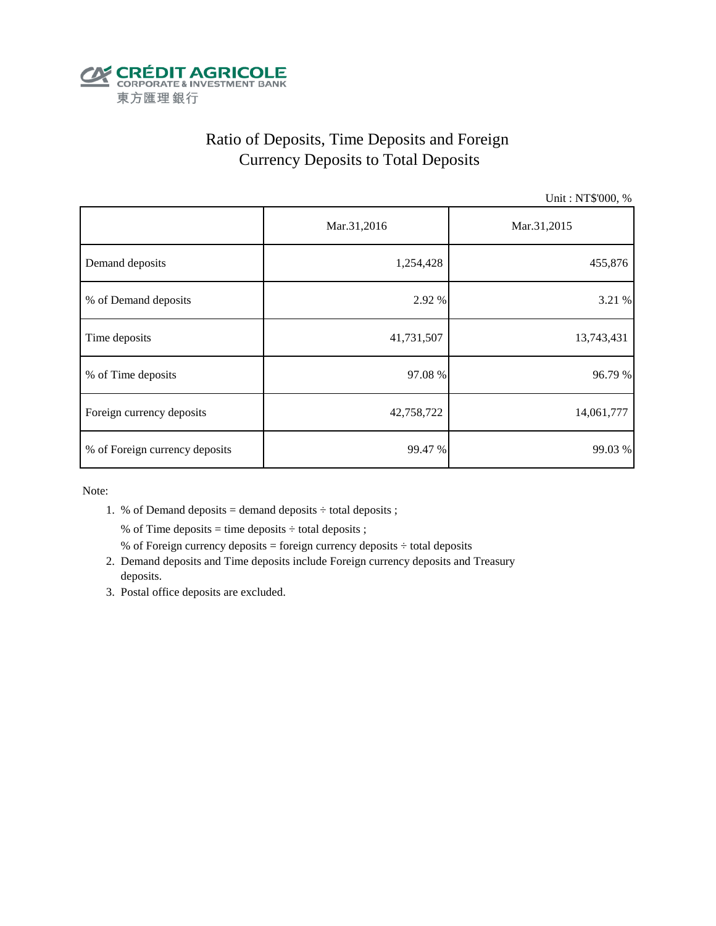

# Ratio of Deposits, Time Deposits and Foreign Currency Deposits to Total Deposits

Unit : NT\$'000, %

|                                | Mar.31,2016 | Mar.31,2015 |  |  |
|--------------------------------|-------------|-------------|--|--|
| Demand deposits                | 1,254,428   | 455,876     |  |  |
| % of Demand deposits           | 2.92 %      | 3.21 %      |  |  |
| Time deposits                  | 41,731,507  | 13,743,431  |  |  |
| % of Time deposits             | 97.08 %     | 96.79 %     |  |  |
| Foreign currency deposits      | 42,758,722  | 14,061,777  |  |  |
| % of Foreign currency deposits | 99.47 %     | 99.03 %     |  |  |

Note:

1. % of Demand deposits = demand deposits  $\div$  total deposits ;

% of Time deposits = time deposits  $\div$  total deposits ;

- % of Foreign currency deposits = foreign currency deposits  $\div$  total deposits
- 2. Demand deposits and Time deposits include Foreign currency deposits and Treasury deposits.
- 3. Postal office deposits are excluded.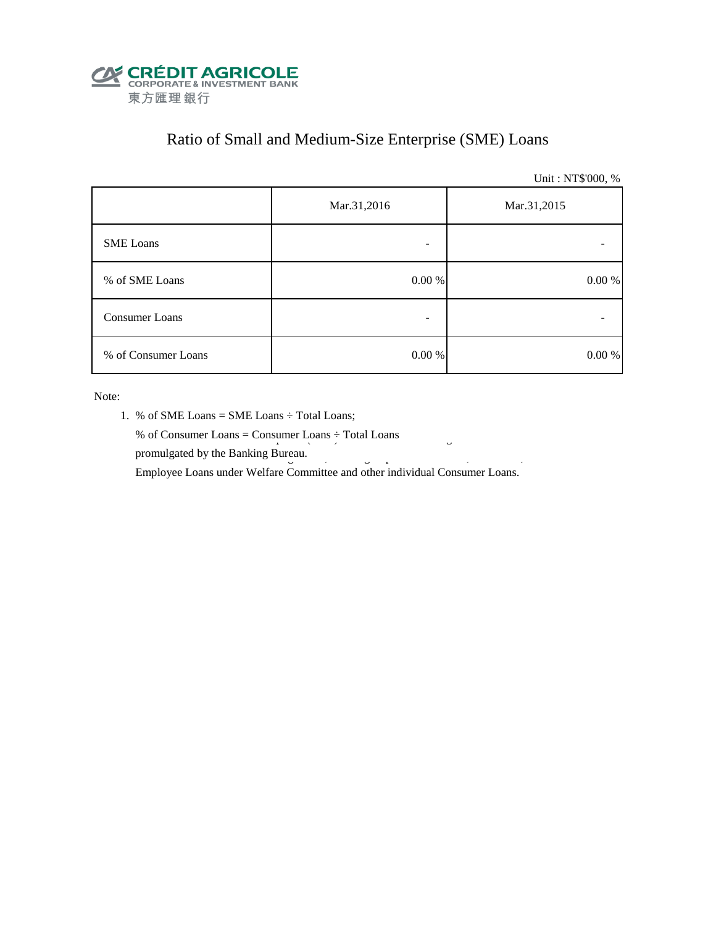

# Ratio of Small and Medium-Size Enterprise (SME) Loans

Unit : NT\$'000, %

|                     | Mar.31,2016 | Mar.31,2015 |  |  |
|---------------------|-------------|-------------|--|--|
| <b>SME</b> Loans    |             |             |  |  |
| % of SME Loans      | $0.00~\%$   | $0.00\ \%$  |  |  |
| Consumer Loans      | -           |             |  |  |
| % of Consumer Loans | $0.00\ \%$  | 0.00 %      |  |  |

Note:

- 1. % of SME Loans = SME Loans ÷ Total Loans;
- % of Consumer Loans = Consumer Loans  $\div$  Total Loans promulgated by the Banking Bureau.  $\frac{3}{5}$

Employee Loans under Welfare Committee and other individual Consumer Loans.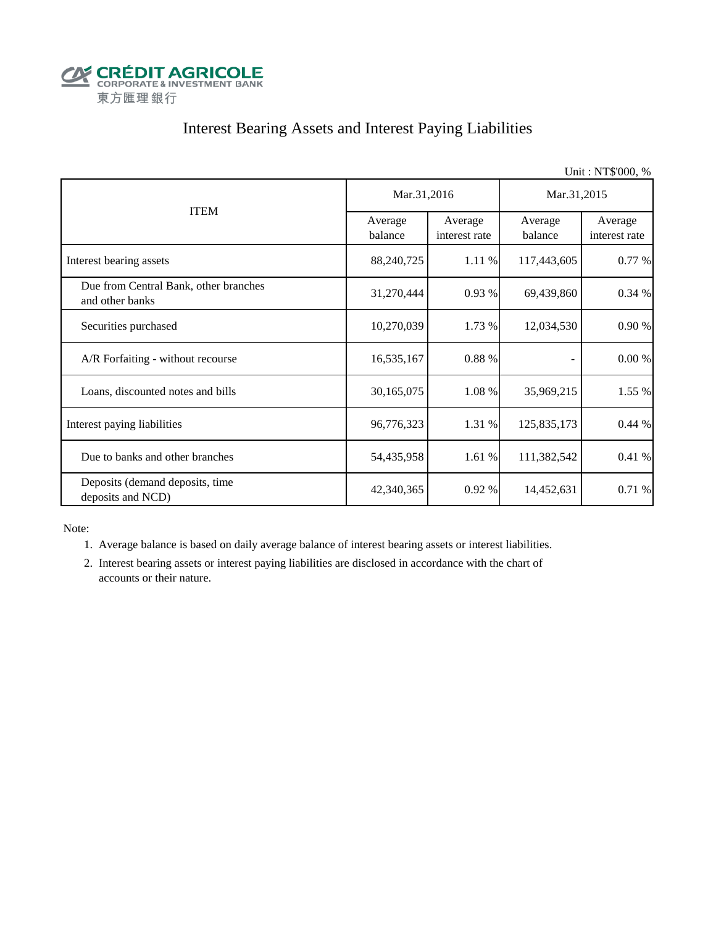

# Interest Bearing Assets and Interest Paying Liabilities

|                                                          |                    |                          |                    | Unit: NT\$'000, %        |  |
|----------------------------------------------------------|--------------------|--------------------------|--------------------|--------------------------|--|
|                                                          | Mar.31,2016        |                          | Mar.31,2015        |                          |  |
| <b>ITEM</b>                                              | Average<br>balance | Average<br>interest rate | Average<br>balance | Average<br>interest rate |  |
| Interest bearing assets                                  | 88,240,725         | 1.11 %                   | 117,443,605        | 0.77 %                   |  |
| Due from Central Bank, other branches<br>and other banks | 31,270,444         | 0.93%                    | 69,439,860         | 0.34 %                   |  |
| Securities purchased                                     | 10,270,039         | 1.73 %                   | 12,034,530         | 0.90 %                   |  |
| A/R Forfaiting - without recourse                        | 16,535,167         | 0.88 %                   |                    | $0.00\ \%$               |  |
| Loans, discounted notes and bills                        | 30,165,075         | 1.08 %                   | 35,969,215         | 1.55 %                   |  |
| Interest paying liabilities                              | 96,776,323         | 1.31 %                   | 125,835,173        | 0.44%                    |  |
| Due to banks and other branches                          | 54,435,958         | 1.61%                    | 111,382,542        | 0.41 %                   |  |
| Deposits (demand deposits, time<br>deposits and NCD)     | 42,340,365         | 0.92%                    | 14,452,631         | 0.71 %                   |  |

Note:

1. Average balance is based on daily average balance of interest bearing assets or interest liabilities.

 2. Interest bearing assets or interest paying liabilities are disclosed in accordance with the chart of accounts or their nature.